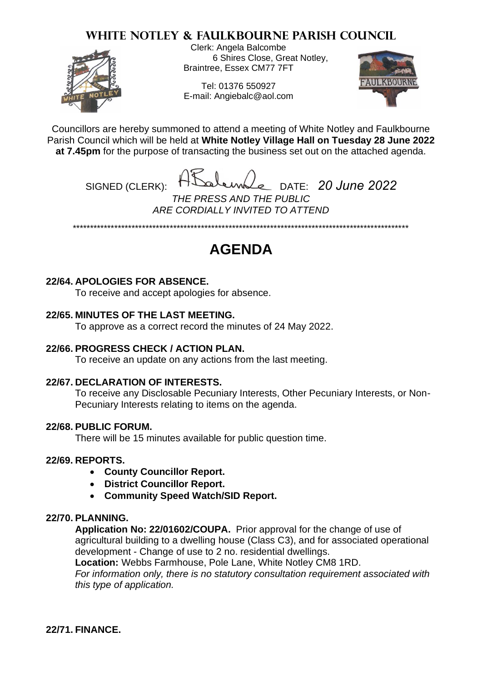## **WHITE NOTLEY & FAULKBOURNE PARISH COUNCIL**



Clerk: Angela Balcombe 6 Shires Close, Great Notley, Braintree, Essex CM77 7FT

Tel: 01376 550927 E-mail: Angiebalc@aol.com



Councillors are hereby summoned to attend a meeting of White Notley and Faulkbourne Parish Council which will be held at **White Notley Village Hall on Tuesday 28 June 2022 at 7.45pm** for the purpose of transacting the business set out on the attached agenda.

SIGNED (CLERK): DATE: *20 June 2022 THE PRESS AND THE PUBLIC ARE CORDIALLY INVITED TO ATTEND*

\*\*\*\*\*\*\*\*\*\*\*\*\*\*\*\*\*\*\*\*\*\*\*\*\*\*\*\*\*\*\*\*\*\*\*\*\*\*\*\*\*\*\*\*\*\*\*\*\*\*\*\*\*\*\*\*\*\*\*\*\*\*\*\*\*\*\*\*\*\*\*\*\*\*\*\*\*\*\*\*\*\*\*\*\*\*\*\*\*\*\*\*\*\*\*\*\*

# **AGENDA**

#### **22/64. APOLOGIES FOR ABSENCE.**

To receive and accept apologies for absence.

## **22/65. MINUTES OF THE LAST MEETING.**

To approve as a correct record the minutes of 24 May 2022.

#### **22/66. PROGRESS CHECK / ACTION PLAN.**

To receive an update on any actions from the last meeting.

#### **22/67. DECLARATION OF INTERESTS.**

To receive any Disclosable Pecuniary Interests, Other Pecuniary Interests, or Non-Pecuniary Interests relating to items on the agenda.

#### **22/68. PUBLIC FORUM.**

There will be 15 minutes available for public question time.

#### **22/69. REPORTS.**

- **County Councillor Report.**
- **District Councillor Report.**
- **Community Speed Watch/SID Report.**

#### **22/70. PLANNING.**

**Application No: 22/01602/COUPA.** Prior approval for the change of use of agricultural building to a dwelling house (Class C3), and for associated operational development - Change of use to 2 no. residential dwellings.

**Location:** Webbs Farmhouse, Pole Lane, White Notley CM8 1RD.

*For information only, there is no statutory consultation requirement associated with this type of application.*